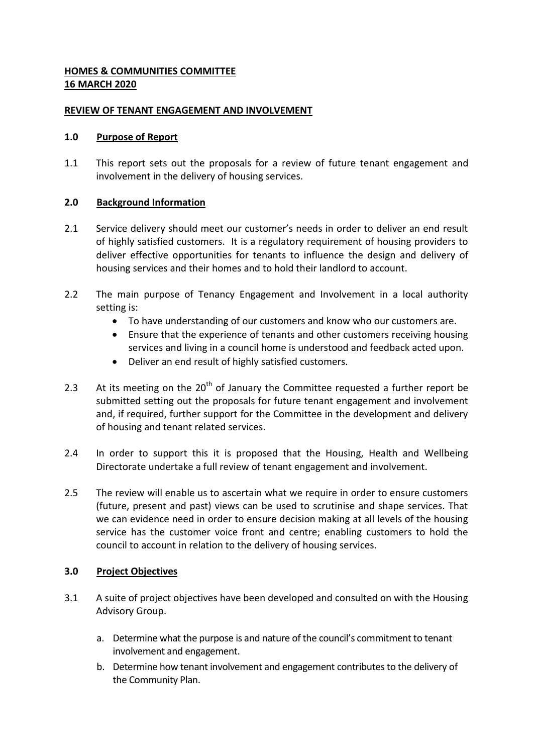# **HOMES & COMMUNITIES COMMITTEE 16 MARCH 2020**

### **REVIEW OF TENANT ENGAGEMENT AND INVOLVEMENT**

### **1.0 Purpose of Report**

1.1 This report sets out the proposals for a review of future tenant engagement and involvement in the delivery of housing services.

## **2.0 Background Information**

- 2.1 Service delivery should meet our customer's needs in order to deliver an end result of highly satisfied customers. It is a regulatory requirement of housing providers to deliver effective opportunities for tenants to influence the design and delivery of housing services and their homes and to hold their landlord to account.
- 2.2 The main purpose of Tenancy Engagement and Involvement in a local authority setting is:
	- To have understanding of our customers and know who our customers are.
	- Ensure that the experience of tenants and other customers receiving housing services and living in a council home is understood and feedback acted upon.
	- Deliver an end result of highly satisfied customers.
- 2.3 At its meeting on the  $20<sup>th</sup>$  of January the Committee requested a further report be submitted setting out the proposals for future tenant engagement and involvement and, if required, further support for the Committee in the development and delivery of housing and tenant related services.
- 2.4 In order to support this it is proposed that the Housing, Health and Wellbeing Directorate undertake a full review of tenant engagement and involvement.
- 2.5 The review will enable us to ascertain what we require in order to ensure customers (future, present and past) views can be used to scrutinise and shape services. That we can evidence need in order to ensure decision making at all levels of the housing service has the customer voice front and centre; enabling customers to hold the council to account in relation to the delivery of housing services.

## **3.0 Project Objectives**

- 3.1 A suite of project objectives have been developed and consulted on with the Housing Advisory Group.
	- a. Determine what the purpose is and nature of the council's commitment to tenant involvement and engagement.
	- b. Determine how tenant involvement and engagement contributes to the delivery of the Community Plan.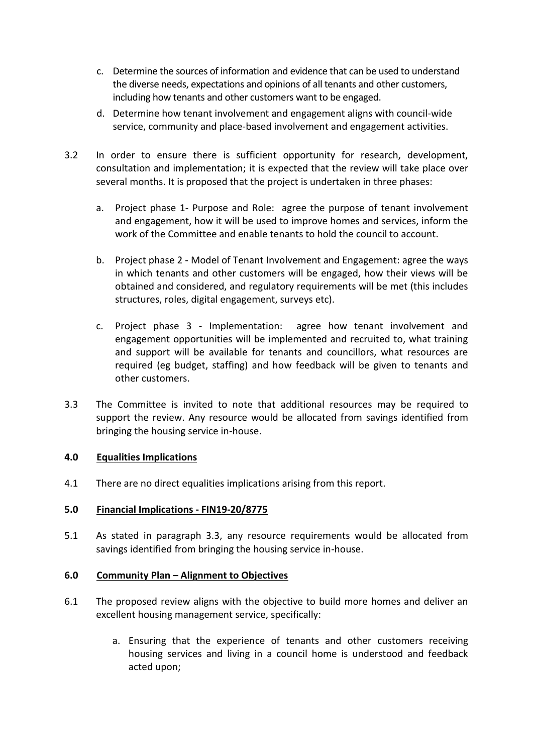- c. Determine the sources of information and evidence that can be used to understand the diverse needs, expectations and opinions of all tenants and other customers, including how tenants and other customers want to be engaged.
- d. Determine how tenant involvement and engagement aligns with council-wide service, community and place-based involvement and engagement activities.
- 3.2 In order to ensure there is sufficient opportunity for research, development, consultation and implementation; it is expected that the review will take place over several months. It is proposed that the project is undertaken in three phases:
	- a. Project phase 1- Purpose and Role: agree the purpose of tenant involvement and engagement, how it will be used to improve homes and services, inform the work of the Committee and enable tenants to hold the council to account.
	- b. Project phase 2 Model of Tenant Involvement and Engagement: agree the ways in which tenants and other customers will be engaged, how their views will be obtained and considered, and regulatory requirements will be met (this includes structures, roles, digital engagement, surveys etc).
	- c. Project phase 3 Implementation: agree how tenant involvement and engagement opportunities will be implemented and recruited to, what training and support will be available for tenants and councillors, what resources are required (eg budget, staffing) and how feedback will be given to tenants and other customers.
- 3.3 The Committee is invited to note that additional resources may be required to support the review. Any resource would be allocated from savings identified from bringing the housing service in-house.

### **4.0 Equalities Implications**

4.1 There are no direct equalities implications arising from this report.

## **5.0 Financial Implications - FIN19-20/8775**

5.1 As stated in paragraph 3.3, any resource requirements would be allocated from savings identified from bringing the housing service in-house.

### **6.0 Community Plan – Alignment to Objectives**

- 6.1 The proposed review aligns with the objective to build more homes and deliver an excellent housing management service, specifically:
	- a. Ensuring that the experience of tenants and other customers receiving housing services and living in a council home is understood and feedback acted upon;